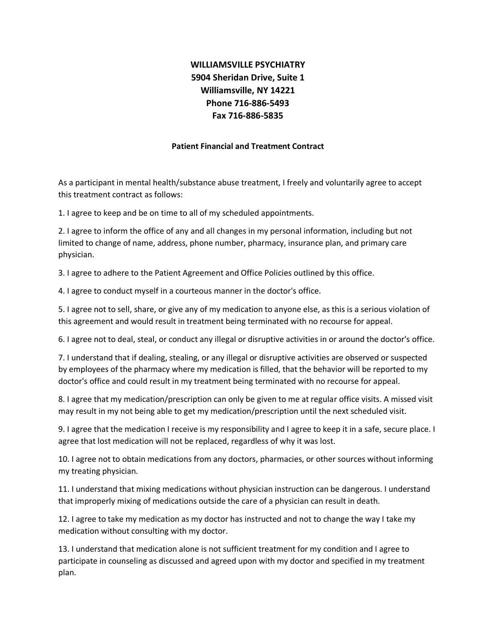## **WILLIAMSVILLE PSYCHIATRY 5904 Sheridan Drive, Suite 1 Williamsville, NY 14221 Phone 716-886-5493 Fax 716-886-5835**

## **Patient Financial and Treatment Contract**

As a participant in mental health/substance abuse treatment, I freely and voluntarily agree to accept this treatment contract as follows:

1. I agree to keep and be on time to all of my scheduled appointments.

2. I agree to inform the office of any and all changes in my personal information, including but not limited to change of name, address, phone number, pharmacy, insurance plan, and primary care physician.

3. I agree to adhere to the Patient Agreement and Office Policies outlined by this office.

4. I agree to conduct myself in a courteous manner in the doctor's office.

5. I agree not to sell, share, or give any of my medication to anyone else, as this is a serious violation of this agreement and would result in treatment being terminated with no recourse for appeal.

6. I agree not to deal, steal, or conduct any illegal or disruptive activities in or around the doctor's office.

7. I understand that if dealing, stealing, or any illegal or disruptive activities are observed or suspected by employees of the pharmacy where my medication is filled, that the behavior will be reported to my doctor's office and could result in my treatment being terminated with no recourse for appeal.

8. I agree that my medication/prescription can only be given to me at regular office visits. A missed visit may result in my not being able to get my medication/prescription until the next scheduled visit.

9. I agree that the medication I receive is my responsibility and I agree to keep it in a safe, secure place. I agree that lost medication will not be replaced, regardless of why it was lost.

10. I agree not to obtain medications from any doctors, pharmacies, or other sources without informing my treating physician.

11. I understand that mixing medications without physician instruction can be dangerous. I understand that improperly mixing of medications outside the care of a physician can result in death.

12. I agree to take my medication as my doctor has instructed and not to change the way I take my medication without consulting with my doctor.

13. I understand that medication alone is not sufficient treatment for my condition and I agree to participate in counseling as discussed and agreed upon with my doctor and specified in my treatment plan.